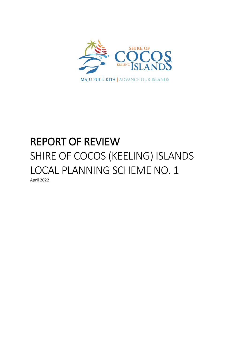

# REPORT OF REVIEW SHIRE OF COCOS (KEELING) ISLANDS LOCAL PLANNING SCHEME NO. 1 April 2022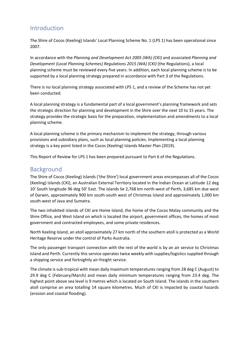# Introduction

The Shire of Cocos (Keeling) Islands' Local Planning Scheme No. 1 (LPS 1) has been operational since 2007.

In accordance with the *Planning and Development Act 2005 (WA) (CKI)* and associated *Planning and Development (Local Planning Schemes) Regulations 2015 (WA) (CKI)* (the Regulations), a local planning scheme must be reviewed every five years. In addition, each local planning scheme is to be supported by a local planning strategy prepared in accordance with Part 3 of the Regulations.

There is no local planning strategy associated with LPS 1, and a review of the Scheme has not yet been conducted.

A local planning strategy is a fundamental part of a local government's planning framework and sets the strategic direction for planning and development in the Shire over the next 10 to 15 years. The strategy provides the strategic basis for the preparation, implementation and amendments to a local planning scheme.

A local planning scheme is the primary mechanism to implement the strategy, through various provisions and subsidiary plans, such as local planning policies. Implementing a local planning strategy is a key point listed in the Cocos (Keeling) Islands Master Plan (2019).

This Report of Review for LPS 1 has been prepared pursuant to Part 6 of the Regulations.

## Background

The Shire of Cocos (Keeling) Islands ('the Shire') local government areas encompasses all of the Cocos (Keeling) Islands (CKI), an Australian External Territory located in the Indian Ocean at Latitude 12 deg 10' South longitude 96 deg 50' East. The islands lie 2,768 km north-west of Perth, 3,685 km due west of Darwin, approximately 900 km south-south west of Christmas Island and approximately 1,000 km south-west of Java and Sumatra.

The two inhabited islands of CKI are Home Island, the home of the Cocos Malay community and the Shire Office, and West Island on which is located the airport, government offices, the homes of most government and contracted employees, and some private residences.

North Keeling Island, an atoll approximately 27 km north of the southern atoll is protected as a World Heritage Reserve under the control of Parks Australia.

The only passenger transport connection with the rest of the world is by an air service to Christmas Island and Perth. Currently this service operates twice weekly with supplies/logistics supplied through a shipping service and fortnightly air-freight service.

The climate is sub-tropical with mean daily maximum temperatures ranging from 28 deg C (August) to 29.9 deg C (February/March) and mean daily minimum temperatures ranging from 23.4 deg. The highest point above sea level is 9 metres which is located on South Island. The islands in the southern atoll comprise an area totalling 14 square kilometres. Much of CKI is impacted by coastal hazards (erosion and coastal flooding).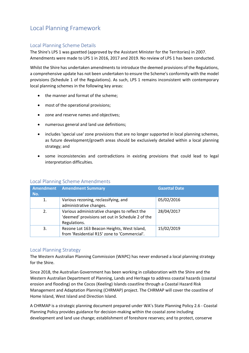# Local Planning Framework

#### Local Planning Scheme Details

The Shire's LPS 1 was gazetted (approved by the Assistant Minister for the Territories) in 2007. Amendments were made to LPS 1 in 2016, 2017 and 2019. No review of LPS 1 has been conducted.

Whilst the Shire has undertaken amendments to introduce the deemed provisions of the Regulations, a comprehensive update has not been undertaken to ensure the Scheme's conformity with the model provisions (Schedule 1 of the Regulations). As such, LPS 1 remains inconsistent with contemporary local planning schemes in the following key areas:

- the manner and format of the scheme;
- most of the operational provisions;
- zone and reserve names and objectives;
- numerous general and land use definitions;
- includes 'special use' zone provisions that are no longer supported in local planning schemes, as future development/growth areas should be exclusively detailed within a local planning strategy; and
- some inconsistencies and contradictions in existing provisions that could lead to legal interpretation difficulties.

| No. | <b>Amendment Amendment Summary</b>                                                                                | <b>Gazettal Date</b> |
|-----|-------------------------------------------------------------------------------------------------------------------|----------------------|
| 1.  | Various rezoning, reclassifying, and<br>administrative changes.                                                   | 05/02/2016           |
| 2.  | Various administrative changes to reflect the<br>'deemed' provisions set out in Schedule 2 of the<br>Regulations. | 28/04/2017           |
| 3.  | Rezone Lot 163 Beacon Heights, West Island,<br>from 'Residential R15' zone to 'Commercial'.                       | 15/02/2019           |

#### Local Planning Scheme Amendments

#### Local Planning Strategy

The Western Australian Planning Commission (WAPC) has never endorsed a local planning strategy for the Shire.

Since 2018, the Australian Government has been working in collaboration with the Shire and the Western Australian Department of Planning, Lands and Heritage to address coastal hazards (coastal erosion and flooding) on the Cocos (Keeling) Islands coastline through a Coastal Hazard Risk Management and Adaptation Planning (CHRMAP) project. The CHRMAP will cover the coastline of Home Island, West Island and Direction Island.

A CHRMAP is a strategic planning document prepared under WA's State Planning Policy 2.6 - Coastal Planning Policy provides guidance for decision-making within the coastal zone including development and land use change; establishment of foreshore reserves; and to protect, conserve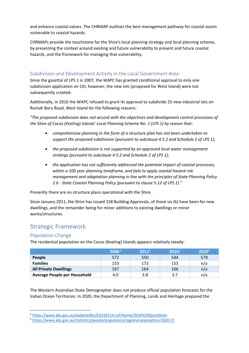and enhance coastal values. The CHRMAP outlines the best management pathway for coastal assets vulnerable to coastal hazards.

CHRMAPs provide the touchstone for the Shire's local planning strategy and local planning scheme, by presenting the context around existing and future vulnerability to present and future coastal hazards, and the framework for managing that vulnerability.

#### Subdivision and Development Activity in the Local Government Area

Since the gazettal of LPS 1 in 2007, the WAPC has granted conditional approval to only one subdivision application on CKI, however; the new lots (proposed for West Island) were not subsequently created.

Additionally, in 2016 the WAPC refused to grant its approval to subdivide 25 new industrial lots on Rumah Baru Road, West Island for the following reasons:

*"The proposed subdivision does not accord with the objectives and development control provisions of the Shire of Cocos (Keeling) Islands' Local Planning Scheme No. 1 (LPS 1) by reason that:*

- *comprehensive planning in the form of a structure plan has not been undertaken to support the proposed subdivision (pursuant to subclause 4.5.2 and Schedule 2 of LPS 1);*
- *the proposed subdivision is not supported by an approved local water management strategy (pursuant to subclause 4.5.2 and Schedule 2 of LPS 1);*
- *the application has not sufficiently addressed the potential impact of coastal processes, within a 100 year planning timeframe, and fails to apply coastal hazard risk management and adaptation planning in line with the principles of State Planning Policy 2.6 - State Coastal Planning Policy (pursuant to clause 5.12 of LPS 1)."*

Presently there are no structure plans operational with the Shire.

Since January 2011, the Shire has issued 158 Building Approvals, of those six (6) have been for new dwellings, and the remainder being for minor additions to existing dwellings or minor works/structures.

## Strategic Framework

#### Population Change

The residential population on the Cocos (Keeling) Islands appears relatively steady:

<span id="page-3-0"></span>

|                              | 2006 <sup>1</sup> | $\mathsf{L}2011^{11}$ | 2016 <sup>1</sup> | 2022 <sup>2</sup> |
|------------------------------|-------------------|-----------------------|-------------------|-------------------|
| People                       | 572               | 550                   | 544               | 579               |
| <b>Families</b>              | 153               | 172                   | 153               | n/a               |
| <b>All Private Dwellings</b> | 167               | 164                   | 166               | n/a               |
| Average People per Household | 4.0               | 3.8                   | 3.7               | n/a               |

The Western Australian State Demographer does not produce official population forecasts for the Indian Ocean Territories. In 2020, the Department of Planning, Lands and Heritage prepared the

<span id="page-3-1"></span><sup>1</sup> <https://www.abs.gov.au/websitedbs/D3310114.nsf/Home/2016%20QuickStats>

<span id="page-3-2"></span><sup>2</sup> <https://www.abs.gov.au/statistics/people/population/regional-population/2020-21>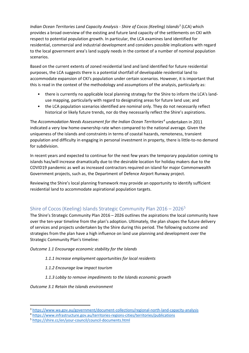*Indian Ocean Territories Land Capacity Analysis - Shire of Cocos (Keeling) Islands[3](#page-4-0)* (LCA) which provides a broad overview of the existing and future land capacity of the settlements on CKI with respect to potential population growth. In particular, the LCA examines land identified for residential, commercial and industrial development and considers possible implications with regard to the local government area's land supply needs in the context of a number of nominal population scenarios.

Based on the current extents of zoned residential land and land identified for future residential purposes, the LCA suggests there is a potential shortfall of developable residential land to accommodate expansion of CKI's population under certain scenarios. However, it is important that this is read in the context of the methodology and assumptions of the analysis, particularly as:

- there is currently no applicable local planning strategy for the Shire to inform the LCA's landuse mapping, particularly with regard to designating areas for future land use; and
- the LCA population scenarios identified are nominal only. They do not necessarily reflect historical or likely future trends, nor do they necessarily reflect the Shire's aspirations.

The *Accommodation Needs Assessment for the Indian Ocean Territories[4](#page-4-1)* undertaken in 2011 indicated a very low home-ownership rate when compared to the national average. Given the uniqueness of the islands and constraints in terms of coastal hazards, remoteness, transient population and difficulty in engaging in personal investment in property, there is little-to-no demand for subdivision.

In recent years and expected to continue for the next few years the temporary population coming to islands has/will increase dramatically due to the desirable location for holiday makers due to the COVID19 pandemic as well as increased contractors required on island for major Commonwealth Government projects, such as, the Department of Defence Airport Runway project.

Reviewing the Shire's local planning framework may provide an opportunity to identify sufficient residential land to accommodate aspirational population targets.

## Shire of Cocos (Keeling) Islands Strategic Community Plan 2016 – 2026[5](#page-4-2)

The Shire's Strategic Community Plan 2016 – 2026 outlines the aspirations the local community have over the ten-year timeline from the plan's adoption. Ultimately, the plan shapes the future delivery of services and projects undertaken by the Shire during this period. The following outcome and strategies from the plan have a high influence on land use planning and development over the Strategic Community Plan's timeline:

#### *Outcome 1.1 Encourage economic stability for the Islands*

- *1.1.1 Increase employment opportunities for local residents*
- *1.1.2 Encourage low impact tourism*
- *1.1.3 Lobby to remove impediments to the Islands economic growth*

*Outcome 3.1 Retain the Islands environment*

<span id="page-4-0"></span><sup>3</sup> <https://www.wa.gov.au/government/document-collections/regional-north-land-capacity-analysis>

<span id="page-4-1"></span><sup>4</sup> <https://www.infrastructure.gov.au/territories-regions-cities/territories/publications>

<span id="page-4-2"></span><sup>5</sup> <https://shire.cc/en/your-council/council-documents.html>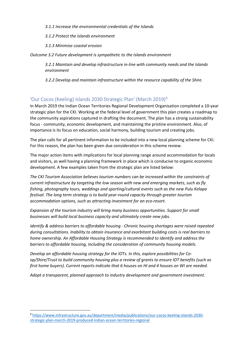#### *3.1.1 Increase the environmental credentials of the Islands*

- *3.1.2 Protect the Islands environment*
- *3.1.3 Minimise coastal erosion*

*Outcome 3.2 Future development is sympathetic to the Islands environment*

*3.2.1 Maintain and develop infrastructure in-line with community needs and the Islands environment*

*3.2.2 Develop and maintain infrastructure within the resource capability of the Shire.*

#### 'Our Cocos (Keeling) Islands 2030 Strategic Plan' (March 2019)[6](#page-5-0)

In March 2019 the Indian Ocean Territories Regional Development Organisation completed a 10-year strategic plan for the CKI. Working at the federal level of government this plan creates a roadmap to the community aspirations captured in drafting the document. The plan has a strong sustainability focus - community, economic development, and maintaining the pristine environment. Also, of importance is its focus on education, social harmony, building tourism and creating jobs.

The plan calls for all pertinent information to be included into a new local planning scheme for CKI. For this reason, the plan has been given due consideration in this scheme review.

The major action items with implications for local planning range around accommodation for locals and visitors, as well having a planning framework in place which is conducive to organic economic development. A few examples taken from the strategic plan are listed below:

*The CKI Tourism Association believes tourism numbers can be increased within the constraints of current infrastructure by targeting the low season with new and emerging markets, such as fly fishing, photography tours, weddings and sporting/cultural events such as the new Pulu Kelapa festival. The long term strategy is to build year-round capacity through greater tourism accommodation options, such as attracting investment for an eco-resort.* 

*Expansion of the tourism industry will bring many business opportunities. Support for small businesses will build local business capacity and ultimately create new jobs.* 

*Identify & address barriers to affordable housing - Chronic housing shortages were raised repeated during consultations. Inability to obtain insurance and exorbitant building costs is real barriers to home ownership. An Affordable Housing Strategy is recommended to identify and address the barriers to affordable housing, including the consideration of community housing models.*

*Develop an affordable housing strategy for the IOTs. In this, explore possibilities for Coop/Shire/Trust to build community housing plus a review of grants to ensure IOT benefits (such as first home buyers). Current reports indicate that 6 houses on HI and 4 houses on WI are needed.* 

*Adopt a transparent, planned approach to industry development and government investment.*

<span id="page-5-0"></span><sup>6</sup> [https://www.infrastructure.gov.au/department/media/publications/our-cocos-keeling-islands-2030](https://www.infrastructure.gov.au/department/media/publications/our-cocos-keeling-islands-2030-strategic-plan-march-2019-produced-indian-ocean-territories-regional) [strategic-plan-march-2019-produced-indian-ocean-territories-regional](https://www.infrastructure.gov.au/department/media/publications/our-cocos-keeling-islands-2030-strategic-plan-march-2019-produced-indian-ocean-territories-regional)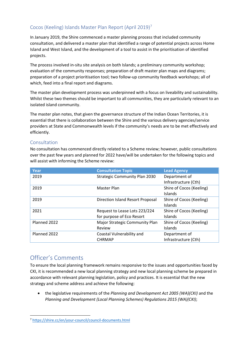## Cocos (Keeling) Islands Master Plan Report (April 2019)[7](#page-6-0)

In January 2019, the Shire commenced a master planning process that included community consultation, and delivered a master plan that identified a range of potential projects across Home Island and West Island, and the development of a tool to assist in the prioritisation of identified projects.

The process involved in-situ site analysis on both Islands; a preliminary community workshop; evaluation of the community responses; preparation of draft master plan maps and diagrams; preparation of a project prioritisation tool; two follow-up community feedback workshops; all of which, feed into a final report and diagrams.

The master plan development process was underpinned with a focus on liveability and sustainability. Whilst these two themes should be important to all communities, they are particularly relevant to an isolated island community.

The master plan notes, that given the governance structure of the Indian Ocean Territories, it is essential that there is collaboration between the Shire and the various delivery agencies/service providers at State and Commonwealth levels if the community's needs are to be met effectively and efficiently.

#### Consultation

No consultation has commenced directly related to a Scheme review; however, public consultations over the past few years and planned for 2022 have/will be undertaken for the following topics and will assist with informing the Scheme review:

| Year         | <b>Consultation Topic</b>               | <b>Lead Agency</b>       |
|--------------|-----------------------------------------|--------------------------|
| 2019         | <b>Strategic Community Plan 2030</b>    | Department of            |
|              |                                         | Infrastructure (Cth)     |
| 2019         | Master Plan                             | Shire of Cocos (Keeling) |
|              |                                         | Islands                  |
| 2019         | <b>Direction Island Resort Proposal</b> | Shire of Cocos (Keeling) |
|              |                                         | Islands                  |
| 2021         | Request to Lease Lots 223/224           | Shire of Cocos (Keeling) |
|              | for purpose of Eco Resort               | Islands                  |
| Planned 2022 | Major Strategic Community Plan          | Shire of Cocos (Keeling) |
|              | Review                                  | Islands                  |
| Planned 2022 | Coastal Vulnerability and               | Department of            |
|              | <b>CHRMAP</b>                           | Infrastructure (Cth)     |

# Officer's Comments

To ensure the local planning framework remains responsive to the issues and opportunities faced by CKI, it is recommended a new local planning strategy and new local planning scheme be prepared in accordance with relevant planning legislation, policy and practices. It is essential that the new strategy and scheme address and achieve the following:

• the legislative requirements of the *Planning and Development Act 2005 (WA)(CKI)* and the *Planning and Development (Local Planning Schemes) Regulations 2015 (WA)(CKI)*;

<span id="page-6-0"></span><sup>7</sup> <https://shire.cc/en/your-council/council-documents.html>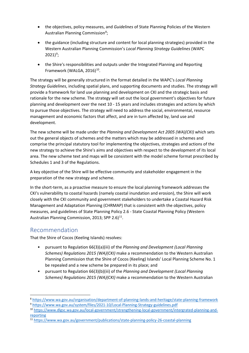- the objectives, policy measures, and *Guidelines* of State Planning Policies of the Western Australian Planning Commission<sup>[8](#page-7-0)</sup>;
- the guidance (including structure and content for local planning strategies) provided in the Western Australian Planning Commission's *Local Planning Strategy Guidelines* (WAPC  $2021)^9;$  $2021)^9;$  $2021)^9;$
- the Shire's responsibilities and outputs under the Integrated Planning and Reporting Framework (WALGA, 2016)<sup>[10](#page-7-2)</sup>.

The strategy will be generally structured in the format detailed in the WAPC's *Local Planning Strategy Guidelines*, including spatial plans, and supporting documents and studies. The strategy will provide a framework for land use planning and development on CKI and the strategic basis and rationale for the new scheme. The strategy will set out the local government's objectives for future planning and development over the next 10 - 15 years and includes strategies and actions by which to pursue those objectives. The strategy will need to address the social, environmental, resource management and economic factors that affect, and are in turn affected by, land use and development.

The new scheme will be made under the *Planning and Development Act 2005 (WA)(CKI)* which sets out the general objects of schemes and the matters which may be addressed in schemes and comprise the principal statutory tool for implementing the objectives, strategies and actions of the new strategy to achieve the Shire's aims and objectives with respect to the development of its local area. The new scheme text and maps will be consistent with the model scheme format prescribed by Schedules 1 and 3 of the Regulations.

A key objective of the Shire will be effective community and stakeholder engagement in the preparation of the new strategy and scheme.

In the short-term, as a proactive measure to ensure the local planning framework addresses the CKI's vulnerability to coastal hazards (namely coastal inundation and erosion), the Shire will work closely with the CKI community and government stakeholders to undertake a Coastal Hazard Risk Management and Adaptation Planning (CHRMAP) that is consistent with the objectives, policy measures, and guidelines of State Planning Policy 2.6 - State Coastal Planning Policy (Western Australian Planning Commission, 2013; SPP 2.6 $11$ .

## Recommendation

That the Shire of Cocos (Keeling Islands) resolves:

- pursuant to Regulation 66(3)(a)(iii) of the *Planning and Development (Local Planning Schemes) Regulations 2015 (WA)(CKI)* make a recommendation to the Western Australian Planning Commission that the Shire of Cocos (Keeling) Islands' Local Planning Scheme No. 1 be repealed and a new scheme be prepared in its place; and
- pursuant to Regulation 66(3)(b)(iii) of the *Planning and Development (Local Planning Schemes) Regulations 2015 (WA)(CKI)* make a recommendation to the Western Australian

<span id="page-7-1"></span><span id="page-7-0"></span><sup>8</sup> <https://www.wa.gov.au/organisation/department-of-planning-lands-and-heritage/state-planning-framework> <sup>9</sup> <https://www.wa.gov.au/system/files/2021-10/Local-Planning-Strategy-guidelines.pdf>

<span id="page-7-2"></span><sup>10</sup> [https://www.dlgsc.wa.gov.au/local-government/strengthening-local-government/intergrated-planning-and](https://www.dlgsc.wa.gov.au/local-government/strengthening-local-government/intergrated-planning-and-reporting)[reporting](https://www.dlgsc.wa.gov.au/local-government/strengthening-local-government/intergrated-planning-and-reporting)

<span id="page-7-3"></span><sup>11</sup> <https://www.wa.gov.au/government/publications/state-planning-policy-26-coastal-planning>